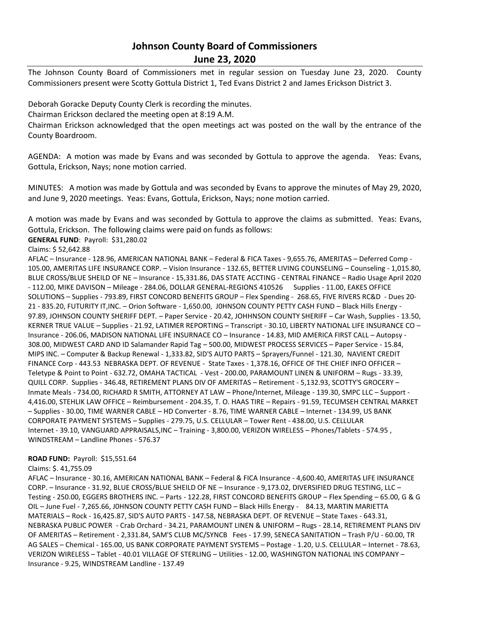## **Johnson County Board of Commissioners June 23, 2020**

The Johnson County Board of Commissioners met in regular session on Tuesday June 23, 2020. County Commissioners present were Scotty Gottula District 1, Ted Evans District 2 and James Erickson District 3.

Deborah Goracke Deputy County Clerk is recording the minutes.

Chairman Erickson declared the meeting open at 8:19 A.M.

Chairman Erickson acknowledged that the open meetings act was posted on the wall by the entrance of the County Boardroom.

AGENDA: A motion was made by Evans and was seconded by Gottula to approve the agenda. Yeas: Evans, Gottula, Erickson, Nays; none motion carried.

MINUTES: A motion was made by Gottula and was seconded by Evans to approve the minutes of May 29, 2020, and June 9, 2020 meetings. Yeas: Evans, Gottula, Erickson, Nays; none motion carried.

A motion was made by Evans and was seconded by Gottula to approve the claims as submitted. Yeas: Evans, Gottula, Erickson. The following claims were paid on funds as follows:

**GENERAL FUND**: Payroll: \$31,280.02

Claims: \$ 52,642.88

AFLAC – Insurance - 128.96, AMERICAN NATIONAL BANK – Federal & FICA Taxes - 9,655.76, AMERITAS – Deferred Comp - 105.00, AMERITAS LIFE INSURANCE CORP. – Vision Insurance - 132.65, BETTER LIVING COUNSELING – Counseling - 1,015.80, BLUE CROSS/BLUE SHEILD OF NE – Insurance - 15,331.86, DAS STATE ACCTING - CENTRAL FINANCE – Radio Usage April 2020 - 112.00, MIKE DAVISON - Mileage - 284.06, DOLLAR GENERAL-REGIONS 410526 Supplies - 11.00, EAKES OFFICE SOLUTIONS – Supplies - 793.89, FIRST CONCORD BENEFITS GROUP – Flex Spending - 268.65, FIVE RIVERS RC&D - Dues 20- 21 - 835.20, FUTURITY IT,INC. – Orion Software - 1,650.00, J0HNSON COUNTY PETTY CASH FUND – Black Hills Energy - 97.89, JOHNSON COUNTY SHERIFF DEPT. – Paper Service - 20.42, JOHHNSON COUNTY SHERIFF – Car Wash, Supplies - 13.50, KERNER TRUE VALUE – Supplies - 21.92, LATIMER REPORTING – Transcript - 30.10, LIBERTY NATIONAL LIFE INSURANCE CO – Insurance - 206.06, MADISON NATIONAL LIFE INSURNACE CO – Insurance - 14.83, MID AMERICA FIRST CALL – Autopsy - 308.00, MIDWEST CARD AND ID Salamander Rapid Tag – 500.00, MIDWEST PROCESS SERVICES – Paper Service - 15.84, MIPS INC. – Computer & Backup Renewal - 1,333.82, SID'S AUTO PARTS – Sprayers/Funnel - 121.30, NAVIENT CREDIT FINANCE Corp - 443.53 NEBRASKA DEPT. OF REVENUE - State Taxes - 1,378.16, OFFICE OF THE CHIEF INFO OFFICER – Teletype & Point to Point - 632.72, OMAHA TACTICAL - Vest - 200.00, PARAMOUNT LINEN & UNIFORM – Rugs - 33.39, QUILL CORP. Supplies - 346.48, RETIREMENT PLANS DIV OF AMERITAS – Retirement - 5,132.93, SCOTTY'S GROCERY – Inmate Meals - 734.00, RICHARD R SMITH, ATTORNEY AT LAW – Phone/Internet, Mileage - 139.30, SMPC LLC – Support - 4,416.00, STEHLIK LAW OFFICE – Reimbursement - 204.35, T. O. HAAS TIRE – Repairs - 91.59, TECUMSEH CENTRAL MARKET – Supplies - 30.00, TIME WARNER CABLE – HD Converter - 8.76, TIME WARNER CABLE – Internet - 134.99, US BANK CORPORATE PAYMENT SYSTEMS – Supplies - 279.75, U.S. CELLULAR – Tower Rent - 438.00, U.S. CELLULAR Internet - 39.10, VANGUARD APPRAISALS,INC – Training - 3,800.00, VERIZON WIRELESS – Phones/Tablets - 574.95 , WINDSTREAM – Landline Phones - 576.37

## **ROAD FUND:** Payroll: \$15,551.64

Claims: \$. 41,755.09

AFLAC – Insurance - 30.16, AMERICAN NATIONAL BANK – Federal & FICA Insurance - 4,600.40, AMERITAS LIFE INSURANCE CORP. – Insurance - 31.92, BLUE CROSS/BLUE SHEILD OF NE – Insurance - 9,173.02, DIVERSIFIED DRUG TESTING, LLC – Testing - 250.00, EGGERS BROTHERS INC. – Parts - 122.28, FIRST CONCORD BENEFITS GROUP – Flex Spending – 65.00, G & G OIL – June Fuel - 7,265.66, J0HNSON COUNTY PETTY CASH FUND – Black Hills Energy - 84.13, MARTIN MARIETTA MATERIALS – Rock - 16,425.87, SID'S AUTO PARTS - 147.58, NEBRASKA DEPT. OF REVENUE – State Taxes - 643.31, NEBRASKA PUBLIC POWER - Crab Orchard - 34.21, PARAMOUNT LINEN & UNIFORM – Rugs - 28.14, RETIREMENT PLANS DIV OF AMERITAS – Retirement - 2,331.84, SAM'S CLUB MC/SYNCB Fees - 17.99, SENECA SANITATION – Trash P/U - 60.00, TR AG SALES – Chemical - 165.00, US BANK CORPORATE PAYMENT SYSTEMS – Postage - 1.20, U.S. CELLULAR – Internet - 78.63, VERIZON WIRELESS – Tablet - 40.01 VILLAGE OF STERLING – Utilities - 12.00, WASHINGTON NATIONAL INS COMPANY – Insurance - 9.25, WINDSTREAM Landline - 137.49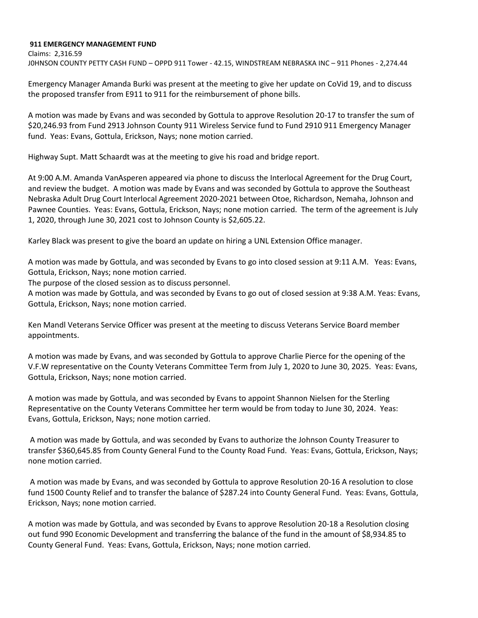## **911 EMERGENCY MANAGEMENT FUND**

Claims: 2,316.59 J0HNSON COUNTY PETTY CASH FUND – OPPD 911 Tower - 42.15, WINDSTREAM NEBRASKA INC – 911 Phones - 2,274.44

Emergency Manager Amanda Burki was present at the meeting to give her update on CoVid 19, and to discuss the proposed transfer from E911 to 911 for the reimbursement of phone bills.

A motion was made by Evans and was seconded by Gottula to approve Resolution 20-17 to transfer the sum of \$20,246.93 from Fund 2913 Johnson County 911 Wireless Service fund to Fund 2910 911 Emergency Manager fund. Yeas: Evans, Gottula, Erickson, Nays; none motion carried.

Highway Supt. Matt Schaardt was at the meeting to give his road and bridge report.

At 9:00 A.M. Amanda VanAsperen appeared via phone to discuss the Interlocal Agreement for the Drug Court, and review the budget. A motion was made by Evans and was seconded by Gottula to approve the Southeast Nebraska Adult Drug Court Interlocal Agreement 2020-2021 between Otoe, Richardson, Nemaha, Johnson and Pawnee Counties. Yeas: Evans, Gottula, Erickson, Nays; none motion carried. The term of the agreement is July 1, 2020, through June 30, 2021 cost to Johnson County is \$2,605.22.

Karley Black was present to give the board an update on hiring a UNL Extension Office manager.

A motion was made by Gottula, and was seconded by Evans to go into closed session at 9:11 A.M. Yeas: Evans, Gottula, Erickson, Nays; none motion carried.

The purpose of the closed session as to discuss personnel.

A motion was made by Gottula, and was seconded by Evans to go out of closed session at 9:38 A.M. Yeas: Evans, Gottula, Erickson, Nays; none motion carried.

Ken Mandl Veterans Service Officer was present at the meeting to discuss Veterans Service Board member appointments.

A motion was made by Evans, and was seconded by Gottula to approve Charlie Pierce for the opening of the V.F.W representative on the County Veterans Committee Term from July 1, 2020 to June 30, 2025. Yeas: Evans, Gottula, Erickson, Nays; none motion carried.

A motion was made by Gottula, and was seconded by Evans to appoint Shannon Nielsen for the Sterling Representative on the County Veterans Committee her term would be from today to June 30, 2024. Yeas: Evans, Gottula, Erickson, Nays; none motion carried.

A motion was made by Gottula, and was seconded by Evans to authorize the Johnson County Treasurer to transfer \$360,645.85 from County General Fund to the County Road Fund. Yeas: Evans, Gottula, Erickson, Nays; none motion carried.

A motion was made by Evans, and was seconded by Gottula to approve Resolution 20-16 A resolution to close fund 1500 County Relief and to transfer the balance of \$287.24 into County General Fund. Yeas: Evans, Gottula, Erickson, Nays; none motion carried.

A motion was made by Gottula, and was seconded by Evans to approve Resolution 20-18 a Resolution closing out fund 990 Economic Development and transferring the balance of the fund in the amount of \$8,934.85 to County General Fund. Yeas: Evans, Gottula, Erickson, Nays; none motion carried.